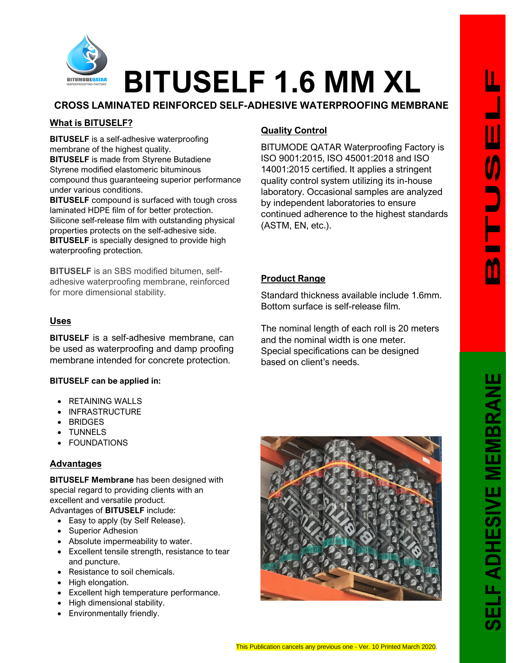

# **BITUSELF 1.6 MM XL**

**CROSS LAMINATED REINFORCED SELF-ADHESIVE WATERPROOFING MEMBRANE**

# **What is BITUSELF?**

**BITUSELF** is a self-adhesive waterproofing membrane of the highest quality. **BITUSELF** is made from Styrene Butadiene Styrene modified elastomeric bituminous compound thus guaranteeing superior performance under various conditions.

**BITUSELF** compound is surfaced with tough cross laminated HDPE film of for better protection. Silicone self-release film with outstanding physical properties protects on the self-adhesive side. **BITUSELF** is specially designed to provide high waterproofing protection.

**BITUSELF** is an SBS modified bitumen, selfadhesive waterproofing membrane, reinforced for more dimensional stability.

#### **Uses**

**BITUSELF** is a self-adhesive membrane, can be used as waterproofing and damp proofing membrane intended for concrete protection.

#### **BITUSELF can be applied in:**

- RETAINING WALLS
- INFRASTRUCTURE
- BRIDGES
- TUNNELS
- **FOUNDATIONS**

#### **Advantages**

**BITUSELF Membrane** has been designed with special regard to providing clients with an excellent and versatile product. Advantages of **BITUSELF** include:

- Easy to apply (by Self Release).
- Superior Adhesion
- Absolute impermeability to water.
- Excellent tensile strength, resistance to tear and puncture.
- Resistance to soil chemicals.
- High elongation.
- Excellent high temperature performance.
- High dimensional stability.
- Environmentally friendly.

# **Quality Control**

BITUMODE QATAR Waterproofing Factory is ISO 9001:2015, ISO 45001:2018 and ISO 14001:2015 certified. It applies a stringent quality control system utilizing its in-house laboratory. Occasional samples are analyzed by independent laboratories to ensure continued adherence to the highest standards (ASTM, EN, etc.).

### **Product Range**

Standard thickness available include 1.6mm. Bottom surface is self-release film.

The nominal length of each roll is 20 meters and the nominal width is one meter. Special specifications can be designed based on client's needs.